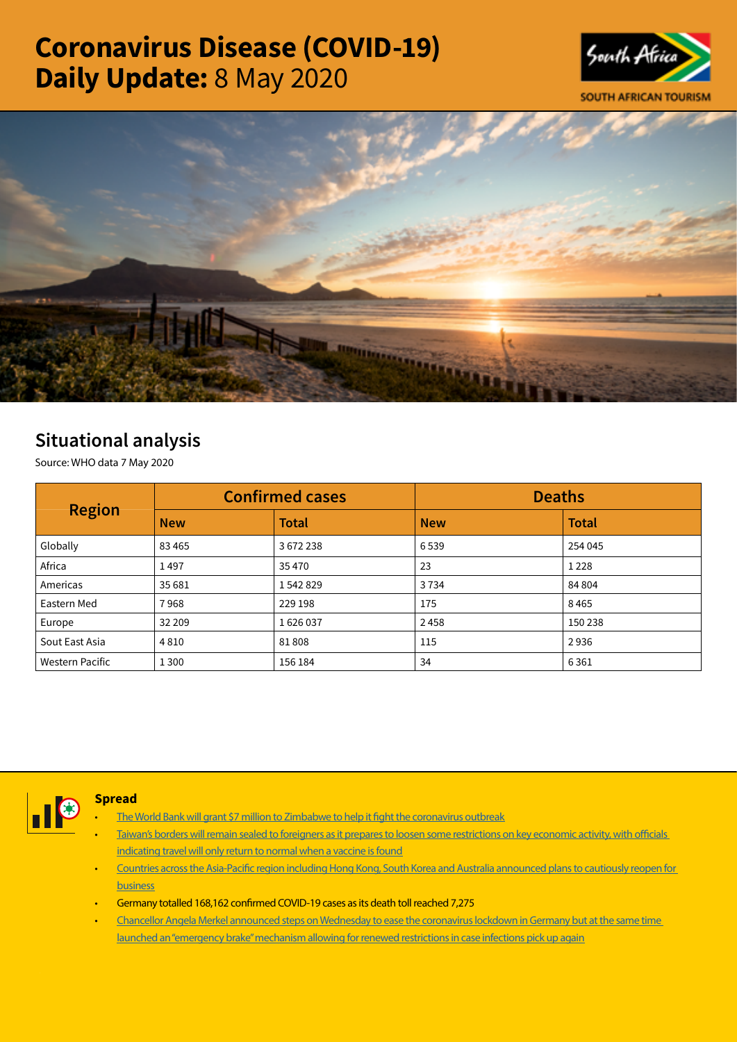# Coronavirus Disease (COVID-19) Daily Update: 8 May 2020





# Situational analysis

Source: WHO data 7 May 2020

| <b>Region</b>          |            | <b>Confirmed cases</b> | <b>Deaths</b> |              |  |
|------------------------|------------|------------------------|---------------|--------------|--|
|                        | <b>New</b> | <b>Total</b>           | <b>New</b>    | <b>Total</b> |  |
| Globally               | 83 4 65    | 3672238                | 6539          | 254 045      |  |
| Africa                 | 1497       | 35 4 70                | 23            | 1 2 2 8      |  |
| Americas               | 35 681     | 1542829                | 3734          | 84 804       |  |
| Eastern Med            | 7968       | 229 198                | 175           | 8465         |  |
| Europe                 | 32 209     | 1626037                | 2458          | 150 238      |  |
| Sout East Asia         | 4810       | 81808                  | 115           | 2936         |  |
| <b>Western Pacific</b> | 1 3 0 0    | 156 184                | 34            | 6361         |  |



## **Spread**

- [The World Bank will grant \\$7 million to Zimbabwe to help it fight the coronavirus outbreak](https://urldefense.proofpoint.com/v2/url?u=https-3A__www.cnbcafrica.com_news_2020_05_06_zimbabwe-2Dgets-2D7m-2Dcovid-2D19-2Dlifeline-2Dfrom-2Dworld-2Dbank_&d=DwMFaQ&c=9wxE0DgWbPxd1HCzjwN8Eaww1--ViDajIU4RXCxgSXE&r=yzHEvaMauYW-i_126uTfVmm6zZUDcU0q8rR4kRum7rc&m=xXDCduF0eajhEBRs4oicBDZsbqftTk-G6ZoY4EfsPK0&s=axYCUOXAdw0FWWg1uwRRII2Wc145ZUcuuu5YeA_LHmg&e=)
- Taiwan's borders will remain sealed to foreigners as it prepares to loosen some restrictions on key economic activity, with officials [indicating travel will only return to normal when a vaccine is found](https://www.ft.com/content/0705d2eb-34ea-47b9-af9e-1aef5685eb58)
- [Countries across the Asia-Pacific region including Hong Kong, South Korea and Australia announced plans to cautiously reopen for](https://urldefense.proofpoint.com/v2/url?u=https-3A__www.theguardian.com_world_2020_may_06_global-2Dreport-2Dseveral-2Dasia-2Dpacific-2Dnations-2Dpass-2Dcovid-2D19-2Dpeak-2Dand-2Dplot-2Dreturn-2Dto-2Dwork&d=DwMFaQ&c=9wxE0DgWbPxd1HCzjwN8Eaww1--ViDajIU4RXCxgSXE&r=yzHEvaMauYW-i_126uTfVmm6zZUDcU0q8rR4kRum7rc&m=xXDCduF0eajhEBRs4oicBDZsbqftTk-G6ZoY4EfsPK0&s=FjbTkPACxoY3_9VMuqwFDzLxhYtdg7WZayiib4hHsBI&e=)  [business](https://urldefense.proofpoint.com/v2/url?u=https-3A__www.theguardian.com_world_2020_may_06_global-2Dreport-2Dseveral-2Dasia-2Dpacific-2Dnations-2Dpass-2Dcovid-2D19-2Dpeak-2Dand-2Dplot-2Dreturn-2Dto-2Dwork&d=DwMFaQ&c=9wxE0DgWbPxd1HCzjwN8Eaww1--ViDajIU4RXCxgSXE&r=yzHEvaMauYW-i_126uTfVmm6zZUDcU0q8rR4kRum7rc&m=xXDCduF0eajhEBRs4oicBDZsbqftTk-G6ZoY4EfsPK0&s=FjbTkPACxoY3_9VMuqwFDzLxhYtdg7WZayiib4hHsBI&e=)
- Germany totalled 168,162 confirmed COVID-19 cases as its death toll reached 7,275
- [Chancellor Angela Merkel announced steps on Wednesday to ease the coronavirus lockdown in Germany but at the same time](https://urldefense.proofpoint.com/v2/url?u=https-3A__www.reuters.com_article_us-2Dhealth-2Dcoronavirus-2Dmerkel_germany-2Deases-2Dlockdown-2Dwith-2Demergency-2Dbrake-2Don-2Dhand-2Dif-2Dneeded-2DidUSKBN22I24E&d=DwMFaQ&c=9wxE0DgWbPxd1HCzjwN8Eaww1--ViDajIU4RXCxgSXE&r=yzHEvaMauYW-i_126uTfVmm6zZUDcU0q8rR4kRum7rc&m=xXDCduF0eajhEBRs4oicBDZsbqftTk-G6ZoY4EfsPK0&s=AqneGrAWTdx5E22ABGU-Kk9PT7EaRR0IgxvsMYMy_Uc&e=)  [launched an "emergency brake" mechanism allowing for renewed restrictions in case infections pick up again](https://urldefense.proofpoint.com/v2/url?u=https-3A__www.reuters.com_article_us-2Dhealth-2Dcoronavirus-2Dmerkel_germany-2Deases-2Dlockdown-2Dwith-2Demergency-2Dbrake-2Don-2Dhand-2Dif-2Dneeded-2DidUSKBN22I24E&d=DwMFaQ&c=9wxE0DgWbPxd1HCzjwN8Eaww1--ViDajIU4RXCxgSXE&r=yzHEvaMauYW-i_126uTfVmm6zZUDcU0q8rR4kRum7rc&m=xXDCduF0eajhEBRs4oicBDZsbqftTk-G6ZoY4EfsPK0&s=AqneGrAWTdx5E22ABGU-Kk9PT7EaRR0IgxvsMYMy_Uc&e=)